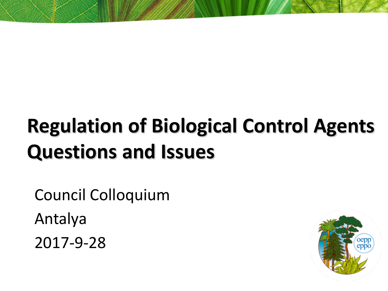# **Regulation of Biological Control Agents Questions and Issues**

Council Colloquium Antalya 2017-9-28

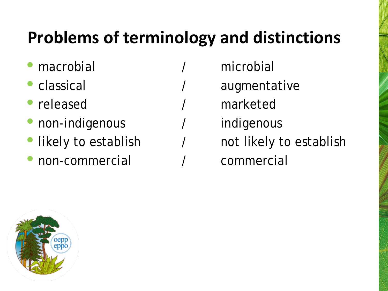## **Problems of terminology and distinctions**

- 
- 
- 
- 
- 
- non-commercial / commercial
- macrobial / microbial
- classical / augmentative
- released / marketed
- non-indigenous / indigenous
- likely to establish  $\overline{ }$  / not likely to establish
	-

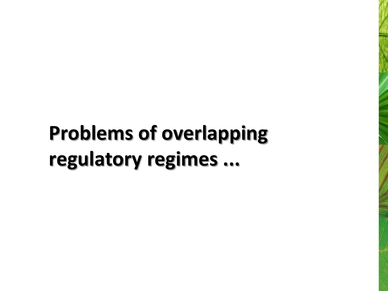# **Problems of overlapping regulatory regimes ...**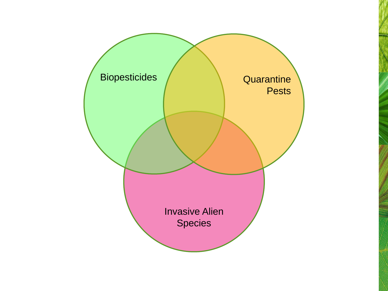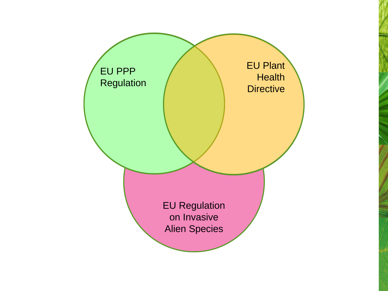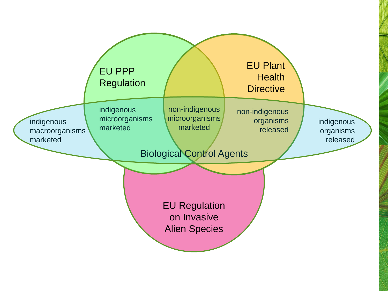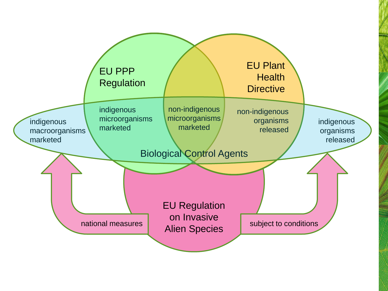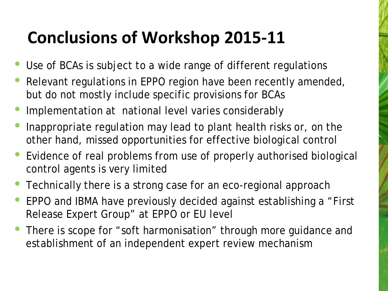### **Conclusions of Workshop 2015-11**

- Use of BCAs is subject to a wide range of different regulations
- Relevant regulations in EPPO region have been recently amended, but do not mostly include specific provisions for BCAs
- Implementation at national level varies considerably
- Inappropriate regulation may lead to plant health risks or, on the other hand, missed opportunities for effective biological control
- Evidence of real problems from use of properly authorised biological control agents is very limited
- Technically there is a strong case for an eco-regional approach
- EPPO and IBMA have previously decided against establishing a "First Release Expert Group" at EPPO or EU level
- There is scope for "soft harmonisation" through more guidance and establishment of an independent expert review mechanism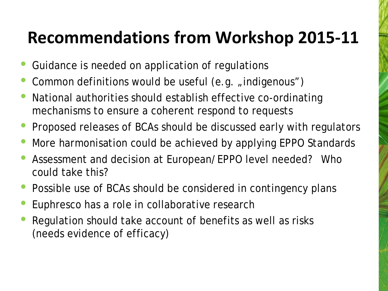#### **Recommendations from Workshop 2015-11**

- Guidance is needed on application of regulations
- Common definitions would be useful (e.g. "indigenous")
- National authorities should establish effective co-ordinating mechanisms to ensure a coherent respond to requests
- Proposed releases of BCAs should be discussed early with regulators
- More harmonisation could be achieved by applying EPPO Standards
- Assessment and decision at European/EPPO level needed? Who could take this?
- Possible use of BCAs should be considered in contingency plans
- Euphresco has a role in collaborative research
- Regulation should take account of benefits as well as risks (needs evidence of efficacy)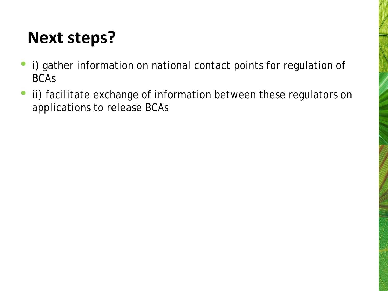## **Next steps?**

- i) gather information on national contact points for regulation of BCAs
- ii) facilitate exchange of information between these regulators on applications to release BCAs